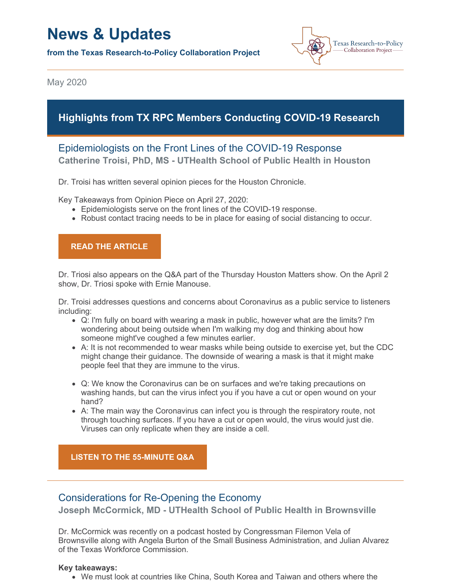# **News & Updates**

**from the Texas Research-to-Policy Collaboration Project**



May 2020

# **Highlights from TX RPC Members Conducting COVID-19 Research**

# Epidemiologists on the Front Lines of the COVID-19 Response **Catherine Troisi, PhD, MS - UTHealth School of Public Health in Houston**

Dr. Troisi has written several opinion pieces for the Houston Chronicle.

Key Takeaways from Opinion Piece on April 27, 2020:

- Epidemiologists serve on the front lines of the COVID-19 response.
- Robust contact tracing needs to be in place for easing of social distancing to occur.

## **READ THE [ARTICLE](https://www.houstonchronicle.com/opinion/outlook/article/Support-public-health-epidemiologists-to-end-this-15224654.php)**

Dr. Triosi also appears on the Q&A part of the Thursday Houston Matters show. On the April 2 show, Dr. Triosi spoke with Ernie Manouse.

Dr. Troisi addresses questions and concerns about Coronavirus as a public service to listeners including:

- Q: I'm fully on board with wearing a mask in public, however what are the limits? I'm wondering about being outside when I'm walking my dog and thinking about how someone might've coughed a few minutes earlier.
- A: It is not recommended to wear masks while being outside to exercise yet, but the CDC might change their guidance. The downside of wearing a mask is that it might make people feel that they are immune to the virus.
- Q: We know the Coronavirus can be on surfaces and we're taking precautions on washing hands, but can the virus infect you if you have a cut or open wound on your hand?
- A: The main way the Coronavirus can infect you is through the respiratory route, not through touching surfaces. If you have a cut or open would, the virus would just die. Viruses can only replicate when they are inside a cell.

**LISTEN TO THE [55-MINUTE](https://www.houstonpublicmedia.org/articles/shows/houston-matters/2020/04/02/365961/special-edition-dr-catherine-troisi-april-2-2020/) Q&A**

## Considerations for Re-Opening the Economy

**Joseph McCormick, MD - UTHealth School of Public Health in Brownsville**

Dr. McCormick was recently on a podcast hosted by Congressman Filemon Vela of Brownsville along with Angela Burton of the Small Business Administration, and Julian Alvarez of the Texas Workforce Commission.

### **Key takeaways:**

We must look at countries like China, South Korea and Taiwan and others where the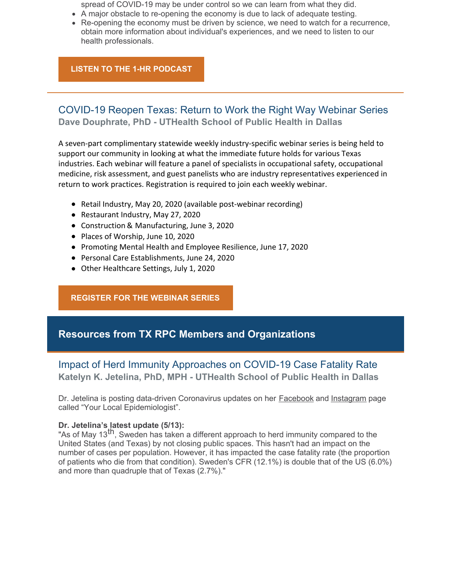spread of COVID-19 may be under control so we can learn from what they did.

- A major obstacle to re-opening the economy is due to lack of adequate testing.
- Re-opening the economy must be driven by science, we need to watch for a recurrence, obtain more information about individual's experiences, and we need to listen to our health professionals.

## **LISTEN TO THE 1-HR [PODCAST](https://riograndeguardian.com/mccormick-re-opening-economy-must-be-driven-by-science/?fbclid=IwAR3Wt8eKmp4tVwi_lwndsUqTiYskUZxYpRtN9XZUeSxcsehjzFUPrvxAVcU)**

## COVID-19 Reopen Texas: Return to Work the Right Way Webinar Series **Dave Douphrate, PhD - UTHealth School of Public Health in Dallas**

A seven-part complimentary statewide weekly industry-specific webinar series is being held to support our community in looking at what the immediate future holds for various Texas industries. Each webinar will feature a panel of specialists in occupational safety, occupational medicine, risk assessment, and guest panelists who are industry representatives experienced in return to work practices. Registration is required to join each weekly webinar.

- Retail Industry, May 20, 2020 (available post-webinar recording)
- Restaurant Industry, May 27, 2020
- Construction & Manufacturing, June 3, 2020
- Places of Worship, June 10, 2020
- Promoting Mental Health and Employee Resilience, June 17, 2020
- Personal Care Establishments, June 24, 2020
- Other Healthcare Settings, July 1, 2020

## **[REGISTER](https://reg.abcsignup.com/reg/event_page.aspx?ek=0037-0020-a6fe2b8a0acc43a6800cf2caa97ad059) FOR THE WEBINAR SERIES**

# **Resources from TX RPC Members and Organizations**

## Impact of Herd Immunity Approaches on COVID-19 Case Fatality Rate **Katelyn K. Jetelina, PhD, MPH - UTHealth School of Public Health in Dallas**

Dr. Jetelina is posting data-driven Coronavirus updates on her [Facebook](https://www.facebook.com/pages/category/Scientist/Your-local-epidemiologist-101805971467321/) and [Instagram](https://www.instagram.com/your_local_epidemiologist/?hl=en) page called "Your Local Epidemiologist".

### **Dr. Jetelina's latest update (5/13):**

As of May 13<sup>th</sup>, Sweden has taken a different approach to herd immunity compared to the United States (and Texas) by not closing public spaces. This hasn't had an impact on the number of cases per population. However, it has impacted the case fatality rate (the proportion of patients who die from that condition). Sweden's CFR (12.1%) is double that of the US (6.0%) and more than quadruple that of Texas (2.7%)."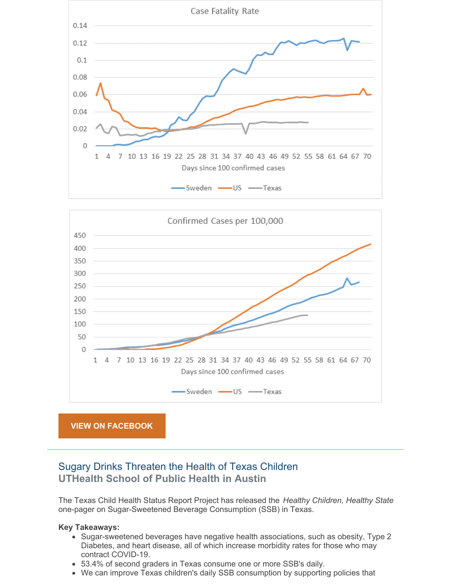



# Sugary Drinks Threaten the Health of Texas Children **UTHealth School of Public Health in Austin**

The Texas Child Health Status Report Project has released the *Healthy Children, Healthy State* one-pager on Sugar-Sweetened Beverage Consumption (SSB) in Texas.

### **Key Takeaways:**

- Sugar-sweetened beverages have negative health associations, such as obesity, Type 2 Diabetes, and heart disease, all of which increase morbidity rates for those who may contract COVID-19.
- 53.4% of second graders in Texas consume one or more SSB's daily.
- We can improve Texas children's daily SSB consumption by supporting policies that $\bullet$